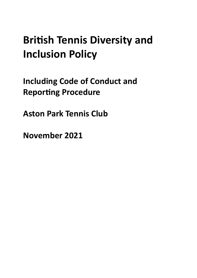# **British Tennis Diversity and Inclusion Policy**

**Including Code of Conduct and Reporting Procedure** 

**Aston Park Tennis Club** 

**November 2021**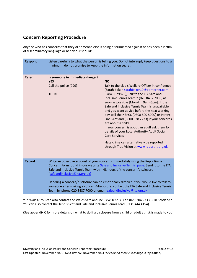# **Concern Reporting Procedure**

Anyone who has concerns that they or someone else is being discriminated against or has been a victim of discriminatory language or behaviour should:

| <b>Respond</b> | Listen carefully to what the person is telling you. Do not interrupt; keep questions to a<br>minimum; do not promise to keep the information secret                                                                                                                                                                                                                                                                                                                                                                                        |                                                                                                                                                                                                                                                                                                                                                                                                                                                                                                                                                                                                                                                                                             |
|----------------|--------------------------------------------------------------------------------------------------------------------------------------------------------------------------------------------------------------------------------------------------------------------------------------------------------------------------------------------------------------------------------------------------------------------------------------------------------------------------------------------------------------------------------------------|---------------------------------------------------------------------------------------------------------------------------------------------------------------------------------------------------------------------------------------------------------------------------------------------------------------------------------------------------------------------------------------------------------------------------------------------------------------------------------------------------------------------------------------------------------------------------------------------------------------------------------------------------------------------------------------------|
| <b>Refer</b>   | Is someone in immediate danger?<br><b>YES</b><br>Call the police (999)<br><b>THEN</b>                                                                                                                                                                                                                                                                                                                                                                                                                                                      | <b>NO</b><br>Talk to the club's Welfare Officer in confidence<br>(Sarah Baker, sarahbaker10@btinternet.com,<br>07841 679825); Talk to the LTA Safe and<br>Inclusive Tennis Team * (020 8487 7000) as<br>soon as possible [Mon-Fri, 9am-5pm]. If the<br>Safe and Inclusive Tennis Team is unavailable<br>and you want advice before the next working<br>day, call the NSPCC (0808 800 5000) or Parent<br>Line Scotland (0800 028 2233) if your concerns<br>are about a child.<br>If your concern is about an adult ask them for<br>details of your Local Authority Adult Social<br>Care Services.<br>Hate crime can alternatively be reported<br>through True Vision at www.report-it.org.uk |
| <b>Record</b>  | Write an objective account of your concerns immediately using the Reporting a<br>Concern Form found in our website Safe and Inclusive Tennis page. Send it to the LTA<br>Safe and Inclusive Tennis Team within 48 hours of the concern/disclosure<br>(safeandinclusive@Ita.org.uk)<br>Handling a concern/disclosure can be emotionally difficult. If you would like to talk to<br>someone after making a concern/disclosure, contact the LTA Safe and Inclusive Tennis<br>Team by phone 020 8487 7000 or email safeandinclusive@Ita.org.uk |                                                                                                                                                                                                                                                                                                                                                                                                                                                                                                                                                                                                                                                                                             |

**\*** In Wales? You can also contact the Wales Safe and Inclusive Tennis Lead (029 2046 3335). In Scotland? You can also contact the Tennis Scotland Safe and Inclusive Tennis Lead (0131 444 4154).

(See appendix C for more details on what to do if a disclosure from a child or adult at risk is made to you)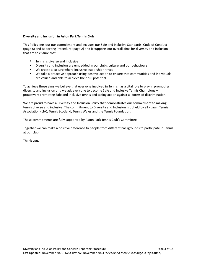# **Diversity and Inclusion in Aston Park Tennis Club**

This Policy sets out our commitment and includes our Safe and Inclusive Standards, Code of Conduct (page 8) and Reporting Procedure (page 2) and it supports our overall aims for diversity and inclusion that are to ensure that:

- Tennis is diverse and inclusive
- Diversity and inclusion are embedded in our club's culture and our behaviours
- We create a culture where inclusive leadership thrives
- We take a proactive approach using positive action to ensure that communities and individuals are valued and able to achieve their full potential.

To achieve these aims we believe that everyone involved in Tennis has a vital role to play in promoting diversity and inclusion and we ask everyone to become Safe and Inclusive Tennis Champions – proactively promoting Safe and Inclusive tennis and taking action against all forms of discrimination.

We are proud to have a Diversity and Inclusion Policy that demonstrates our commitment to making tennis diverse and inclusive. The commitment to Diversity and Inclusion is upheld by all - Lawn Tennis Association (LTA), Tennis Scotland, Tennis Wales and the Tennis Foundation.

These commitments are fully supported by Aston Park Tennis Club's Committee.

Together we can make a positive difference to people from different backgrounds to participate in Tennis at our club.

Thank you.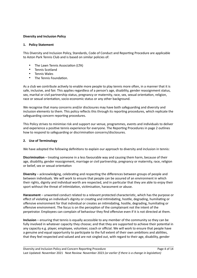# **Diversity and Inclusion Policy**

### **1. Policy Statement**

This Diversity and Inclusion Policy, Standards, Code of Conduct and Reporting Procedure are applicable to Aston Park Tennis Club and is based on similar policies of:

- The Lawn Tennis Association (LTA)
- Tennis Scotland
- Tennis Wales
- The Tennis Foundation.

As a club we contribute actively to enable more people to play tennis more often, in a manner that it is safe, inclusive, and fair. This applies regardless of a person's age, disability, gender reassignment status, sex, marital or civil partnership status, pregnancy or maternity, race, sex, sexual orientation, religion, race or sexual orientation, socio-economic status or any other background.

We recognise that many concerns and/or disclosures may have both safeguarding and diversity and inclusion elements to them. This policy reflects this through its reporting procedures, which replicate the safeguarding concern reporting procedures.

This Policy strives to minimise risk and support our venue, programmes, events and individuals to deliver and experience a positive tennis experience for everyone. The Reporting Procedures in page 2 outlines how to respond to safeguarding or discrimination concerns/disclosures.

# **2. Use of Terminology**

We have adopted the following definitions to explain our approach to diversity and inclusion in tennis:

**Discrimination** – treating someone in a less favourable way and causing them harm, because of their age, disability, gender reassignment, marriage or civil partnership, pregnancy or maternity, race, religion or belief, sex or sexual orientation

**Diversity** – acknowledging, celebrating and respecting the differences between groups of people and between individuals. We will work to ensure that people can be assured of an environment in which their rights, dignity and individual worth are respected, and in particular that they are able to enjoy their sport without the threat of intimidation, victimisation, harassment or abuse.

Harassment – unwanted conduct related to a relevant protected characteristic, which has the purpose or effect of violating an individual's dignity or creating and intimidating, hostile, degrading, humiliating or offensive environment for that individual or creates an intimidating, hostile, degrading, humiliating or offensive environment. The focus is on the perception of the complainant not the intent of the perpetrator. Employees can complain of behaviour they find offensive even if it is not directed at them.

**Inclusion** – ensuring that tennis is equally accessible to any member of the community so they can be fully involved in whatever capacity they choose; and that they are supported to achieve their potential in any capacity e.g. player, employee, volunteer, coach or official. We will work to ensure that people have a genuine and equal opportunity to participate to the full extent of their own ambitions and abilities, that they feel respected and valued and are not singled out, with regard to their age, disability, gender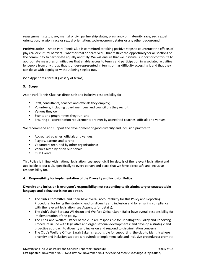reassignment status, sex, marital or civil partnership status, pregnancy or maternity, race, sex, sexual orientation, religion, race or sexual orientation, socio-economic status or any other background.

Positive action – Aston Park Tennis Club is committed to taking positive steps to counteract the effects of physical or cultural barriers – whether real or perceived – that restrict the opportunity for all sections of the community to participate equally and fully. We will ensure that we institute, support or contribute to appropriate measures or initiatives that enable access to tennis and participation in associated activities by people from any group that is under-represented in tennis or has difficulty accessing it and that they can do so with dignity or without being singled out.

(See Appendix A for full glossary of terms)

# **3. Scope**

Aston Park Tennis Club has direct safe and inclusive responsibility for:

- Staff, consultants, coaches and officials they employ;
- Volunteers, including board members and councillors they recruit;
- Venues they own;
- Events and programmes they run; and
- Ensuring all accreditation requirements are met by accredited coaches, officials and venues.

We recommend and support the development of good diversity and inclusion practice to:

- Accredited coaches, officials and venues;
- Players, parents and carers;
- Volunteers recruited by other organisations;
- Venues hired by or on our behalf
- Club Events.

This Policy is in line with national legislation (see appendix B for details of the relevant legislation) and applicable to our club, specifically to every person and place that we have direct safe and inclusive responsibility for.

# **4.** Responsibility for implementation of the Diversity and Inclusion Policy

# **Diversity and inclusion is everyone's responsibility: not responding to discriminatory or unacceptable**  language and behaviour is not an option.

- The club's Committee and Chair have overall accountability for this Policy and Reporting Procedure, for being the strategic lead on diversity and inclusion and for ensuring compliance with the relevant legislation (see Appendix for details).
- The club's chair Barbara Wilkinson and Welfare Officer Sarah Baker have overall responsibility for implementation of the policy.
- The Chair and Welfare Officer of the club are responsible for updating this Policy and Reporting Procedure in line with legislative and organisational developments; and develop a strategic and proactive approach to diversity and inclusion and respond to discrimination concerns.
- The Club's Welfare Officer Sarah Baker is responsible for supporting the club to identify where diversity and inclusion support is required; to implement safe and inclusive procedures; promote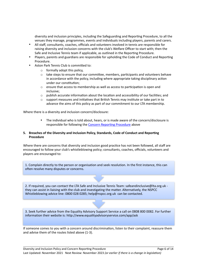diversity and inclusion principles, including the Safeguarding and Reporting Procedure, to all the venues they manage, programmes, events and individuals including players, parents and carers.

- All staff, consultants, coaches, officials and volunteers involved in tennis are responsible for raising diversity and inclusion concerns with the club's Welfare Officer to start with; then the Safe and Inclusive Tennis team if applicable, as outlined in the Reporting Procedure.
- Players, parents and guardians are responsible for upholding the Code of Conduct and Reporting Procedure.
- Aston Park Tennis Club is committed to:
	- $\circ$  formally adopt this policy,
	- $\circ$  take steps to ensure that our committee, members, participants and volunteers behave in accordance with the policy, including where appropriate taking disciplinary action under our constitution;
	- $\circ$  ensure that access to membership as well as access to participation is open and inclusive;
	- $\circ$  publish accurate information about the location and accessibility of our facilities; and
	- $\circ$  support measures and initiatives that British Tennis may institute or take part in to advance the aims of this policy as part of our commitment to our LTA membership.

Where there is a diversity and inclusion concern/disclosure:

• The individual who is told about, hears, or is made aware of the concern/disclosure is responsible for following the Concern Reporting Procedure above

# **5.** Breaches of the Diversity and Inclusion Policy, Standards, Code of Conduct and Reporting **Procedure**

Where there are concerns that diversity and inclusion good practice has not been followed, all staff are encouraged to follow your club's whistleblowing policy; consultants, coaches, officials, volunteers and players are encouraged to:

1. Complain directly to the person or organisation and seek resolution. In the first instance, this can often resolve many disputes or concerns.

2. If required, you can contact the LTA Safe and Inclusive Tennis Team: safeandinclusive@lta.org.uk they can assist in liaising with the club and investigating the matter. Alternatively, the NSPCC Whistleblowing advice line: 0800 028 0285; help@nspcc.org.uk can be contacted.

3. Seek further advice from the Equality Advisory Support Service a call on 0808 800 0082. For further information their website is: http://www.equalityadvisoryservice.com/app/ask

If someone comes to you with a concern around discrimination, listen to their complaint, reassure them and advise them of the routes listed above (1-3).

Diversity and Inclusion Policy and Concern Reporting Procedure **Page 6 of 14** Page 6 of 14 Last Updated: November 2021 Next Review: November 2023 (or earlier if there is a change in legislation)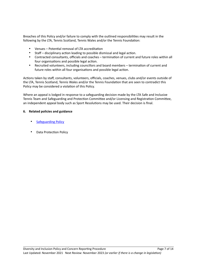Breaches of this Policy and/or failure to comply with the outlined responsibilities may result in the following by the LTA, Tennis Scotland, Tennis Wales and/or the Tennis Foundation:

- Venues Potential removal of LTA accreditation
- Staff disciplinary action leading to possible dismissal and legal action.
- Contracted consultants, officials and coaches termination of current and future roles within all four organisations and possible legal action.
- Recruited volunteers, including councillors and board members termination of current and future roles within all four organisations and possible legal action.

Actions taken by staff, consultants, volunteers, officials, coaches, venues, clubs and/or events outside of the LTA, Tennis Scotland, Tennis Wales and/or the Tennis Foundation that are seen to contradict this Policy may be considered a violation of this Policy.

Where an appeal is lodged in response to a safeguarding decision made by the LTA Safe and Inclusive Tennis Team and Safeguarding and Protection Committee and/or Licensing and Registration Committee, an independent appeal body such as Sport Resolutions may be used. Their decision is final.

# **6. Related policies and guidance**

- Safeguarding Policy
- Data Protection Policy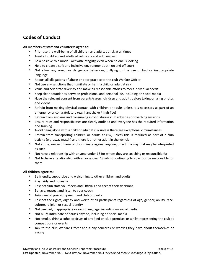# **Codes of Conduct**

# **All members of staff and volunteers agree to:**

- Prioritise the well-being of all children and adults at risk at all times
- Treat all children and adults at risk fairly and with respect
- Be a positive role model. Act with integrity, even when no one is looking
- Help to create a safe and inclusive environment both on and off court
- Not allow any rough or dangerous behaviour, bullying or the use of bad or inappropriate language
- Report all allegations of abuse or poor practice to the club Welfare Officer
- Not use any sanctions that humiliate or harm a child or adult at risk
- Value and celebrate diversity and make all reasonable efforts to meet individual needs
- Keep clear boundaries between professional and personal life, including on social media
- Have the relevant consent from parents/carers, children and adults before taking or using photos and videos
- Refrain from making physical contact with children or adults unless it is necessary as part of an emergency or congratulatory (e.g. handshake / high five)
- Refrain from smoking and consuming alcohol during club activities or coaching sessions
- Ensure roles and responsibilities are clearly outlined and everyone has the required information and training
- Avoid being alone with a child or adult at risk unless there are exceptional circumstances
- Refrain from transporting children or adults at risk, unless this is required as part of a club activity (e.g. away match) and there is another adult in the vehicle
- Not abuse, neglect, harm or discriminate against anyone; or act in a way that may be interpreted as such
- Not have a relationship with anyone under 18 for whom they are coaching or responsible for
- Not to have a relationship with anyone over 18 whilst continuing to coach or be responsible for them

# **All children agree to:**

- Be friendly, supportive and welcoming to other children and adults
- Play fairly and honestly
- Respect club staff, volunteers and Officials and accept their decisions
- Behave, respect and listen to your coach
- Take care of your equipment and club property
- Respect the rights, dignity and worth of all participants regardless of age, gender, ability, race, culture, religion or sexual identity
- Not use bad, inappropriate or racist language, including on social media
- Not bully, intimidate or harass anyone, including on social media
- Not smoke, drink alcohol or drugs of any kind on club premises or whilst representing the club at competitions or events
- Talk to the club Welfare Officer about any concerns or worries they have about themselves or others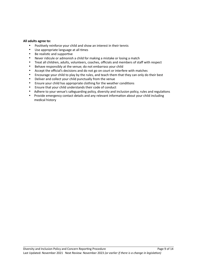#### **All adults agree to:**

- Positively reinforce your child and show an interest in their tennis
- Use appropriate language at all times
- Be realistic and supportive
- Never ridicule or admonish a child for making a mistake or losing a match
- Treat all children, adults, volunteers, coaches, officials and members of staff with respect
- Behave responsibly at the venue; do not embarrass your child
- Accept the official's decisions and do not go on court or interfere with matches
- Encourage your child to play by the rules, and teach them that they can only do their best
- Deliver and collect your child punctually from the venue
- Ensure your child has appropriate clothing for the weather conditions
- Ensure that your child understands their code of conduct
- Adhere to your venue's safeguarding policy, diversity and inclusion policy, rules and regulations
- Provide emergency contact details and any relevant information about your child including medical history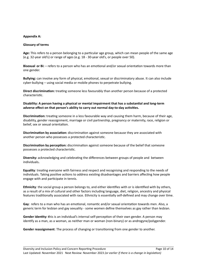### **Appendix A:**

# **Glossary of terms**

Age: This refers to a person belonging to a particular age group, which can mean people of the same age (e.g. 32-year old's) or range of ages (e.g. 18 - 30-year old's, or people over 50).

**Bisexual or Bi:**  $-$  refers to a person who has an emotional and/or sexual orientation towards more than one gender.

**Bullying:** can involve any form of physical, emotional, sexual or discriminatory abuse. It can also include cyber-bullying – using social media or mobile phones to perpetrate bullying.

**Direct discrimination:** treating someone less favourably than another person because of a protected characteristic.

**Disability: A person having a physical or mental impairment that has a substan\$al and long-term**  adverse effect on that person's ability to carry out normal day-to-day activities.

Discrimination: treating someone in a less favourable way and causing them harm, because of their age, disability, gender reassignment, marriage or civil partnership, pregnancy or maternity, race, religion or belief, sex or sexual orientation.

Discrimination by association: discrimination against someone because they are associated with another person who possesses a protected characteristic.

**Discrimination by perception:** discrimination against someone because of the belief that someone possesses a protected characteristic.

**Diversity:** acknowledging and celebrating the differences between groups of people and between individuals**.**

**Equality:** treating everyone with fairness and respect and recognising and responding to the needs of individuals. Taking positive actions to address existing disadvantages and barriers affecting how people engage with and participate in tennis.

**Ethnicity**: the social group a person belongs to, and either identifies with or is identified with by others, as a result of a mix of cultural and other factors including language, diet, religion, ancestry and physical features traditionally associated with race. Ethnicity is essentially self-defined and may change over time.

Gay: refers to a man who has an emotional, romantic and/or sexual orientation towards men. Also, a generic term for lesbian and gay sexuality - some women define themselves as gay rather than lesbian.

**Gender identity:** this is an individual's internal self-perception of their own gender. A person may identify as a man, as a woman, as neither man or woman (non-binary) or as androgyne/polygender.

Gender reassignment: The process of changing or transitioning from one gender to another.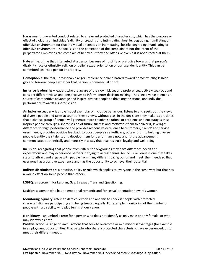**Harassment:** unwanted conduct related to a relevant protected characteristic, which has the purpose or effect of violating an individual's dignity or creating and intimidating, hostile, degrading, humiliating or offensive environment for that individual or creates an intimidating, hostile, degrading, humiliating or offensive environment. The focus is on the perception of the complainant not the intent of the perpetrator. Employees can complain of behaviour they find offensive even if it is not directed at them.

Hate crime: crime that is targeted at a person because of hostility or prejudice towards that person's disability, race or ethnicity, religion or belief, sexual orientation or transgender identity. This can be committed against a person or property.

**Homophobia**: the fear, unreasonable anger, intolerance or/and hatred toward homosexuality, lesbian gay and bisexual people whether that person is homosexual or not.

**Inclusive leadership** – leaders who are aware of their own biases and preferences, actively seek out and consider different views and perspectives to inform better decision-making. They see diverse talent as a source of competitive advantage and inspire diverse people to drive organisational and individual performance towards a shared vision.

**An Inclusive Leader** – is a role model exemplar of inclusive behaviour; listens to and seeks out the views of diverse people and takes account of these views, without bias, in the decisions they make; appreciates that a diverse group of people will generate more creative solutions to problems and encourages this; inspires people through a shared vision of future success and motivates them to deliver it; leverages difference for high performance and provides responsive excellence to customers', clients' and service users' needs; provides positive feedback to boost people's self-efficacy; puts effort into helping diverse people identify their talents and develop them for performance now and future advancement; communicates authentically and honestly in a way that inspires trust, loyalty and well-being.

**Inclusion:** recognising that people from different backgrounds may have difference needs and expectations and may experience barriers in trying to access tennis. An inclusive venue is one that takes steps to attract and engage with people from many different backgrounds and meet their needs so that everyone has a positive experience and has the opportunity to achieve their potential.

**Indirect discrimination:** a practice, policy or rule which applies to everyone in the same way, but that has a worse effect on some people than others.

LGBTQ: an acronym for Lesbian, Gay, Bisexual, Trans and Questioning.

Lesbian: a woman who has an emotional romantic and /or sexual orientation towards women.

**Monitoring equality:** refers to data collection and analysis to check if people with protected characteristics are participating and being treated equally. For example: monitoring of the number of people with a disability who play tennis at our venue.

**Non-binary** – an umbrella term for a person who does not identify as only male or only female, or who may identify as both.

**Positive action:** a range of lawful actions that seek to overcome or minimise disadvantages (for example in employment opportunities) that people who share a protected characteristic have experienced, or to meet their different needs.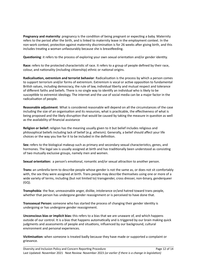**Pregnancy and maternity:** pregnancy is the condition of being pregnant or expecting a baby. Maternity refers to the period after the birth, and is linked to maternity leave in the employment context. In the non-work context, protection against maternity discrimination is for 26 weeks after giving birth, and this includes treating a woman unfavourably because she is breastfeeding.

**Questioning**: it refers to the process of exploring your own sexual orientation and/or gender identity.

**Race:** refers to the protected characteristic of race. It refers to a group of people defined by their race, colour, and nationality (including citizenship) ethnic or national origins.

**Radicalisation, extremism and terrorist behavior**: Radicalisation is the process by which a person comes to support terrorism and/or forms of extremism. Extremism is vocal or active opposition to fundamental British values, including democracy, the rule of law, individual liberty and mutual respect and tolerance of different faiths and beliefs. There is no single way to iden5fy an individual who is likely to be susceptible to extremist ideology. The internet and the use of social media can be a major factor in the radicalisation of people.

**Reasonable adjustment**: What is considered reasonable will depend on all the circumstances of the case including the size of an organisation and its resources, what is practicable, the effectiveness of what is being proposed and the likely disruption that would be caused by taking the measure in question as well as the availability of financial assistance

**Religion or belief:** religion has the meaning usually given to it but belief includes religious and philosophical beliefs including lack of belief (e.g. atheism). Generally, a belief should affect your life choices or the way you live for it to be included in the definition.

**Sex:** refers to the biological makeup such as primary and secondary sexual characteristics, genes, and hormones. The legal sex is usually assigned at birth and has traditionally been understood as consisting of two mutually exclusive groups, namely men and women.

**Sexual orientation:** a person's emotional, romantic and/or sexual attraction to another person.

**Trans:** an umbrella term to describe people whose gender is not the same as, or does not sit comfortably with, the sex they were assigned at birth. Trans people may describe themselves using one or more of a wide variety of terms, including (but not limited to) transgender, cross dresser, non-binary, genderqueer (GQ).

**Transphobia**: the fear, unreasonable anger, dislike, intolerance or/and hatred toward trans people, whether that person has undergone gender reassignment or is perceived to have done that.

**Transsexual Person:** someone who has started the process of changing their gender identity is undergoing or has undergone gender reassignment.

**Unconscious bias or implicit bias:** this refers to a bias that we are unaware of, and which happens outside of our control. It is a bias that happens automatically and is triggered by our brain making quick judgments and assessments of people and situations, influenced by our background, cultural environment and personal experiences.

**Victimisation:** when someone is treated badly because they have made or supported a complaint or grievance.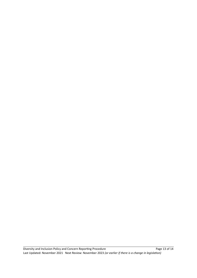Diversity and Inclusion Policy and Concern Reporting Procedure Page 13 of 14